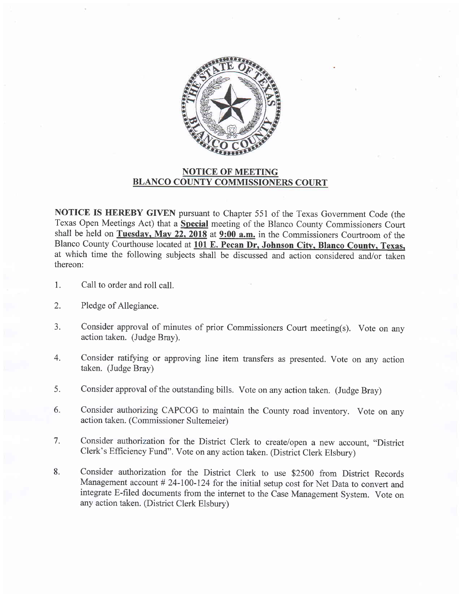

## NOTICE OF MEETING BLANCO COUNTY COMMISSIONERS COURT

NOTICE IS HEREBY GIVEN pursuant to Chapter 551 of the Texas Government Code (the Texas Open Meetings Act) that a Special meeting of the Blanco County Commissioners Court shall be held on Tuesday, May 22, 2018 at  $9:00$  a.m. in the Commissioners Courtroom of the Blanco County Courthouse located at 101 E. Pecan Dr, Johnson City, Blanco County, Texas, at which time the following subjects shall be discussed and action considered and/or taken thereon:

- Call to order and roll call. 1.
- Pledge of Allegiance. 2.
- Consider approval of minutes of prior Commissioners Court meeting(s). Vote on any action taken. (Judge Bray). 3.
- Consider ratifying or approving line item transfers as presented. Vote on any action taken. (Judge Bray) 4.
- Consider approval of the outstanding bills. Vote on any action taken. (Judge Bray) 5.
- Consider authorizing CAPCOG to maintain the County road inventory. Vote on any action taken. (Commissioner Sultemeier) 6.
- Consider authorization for the District Clerk to create/open a new account, "District Clerk's Efficiency Fund". vote on any action taken. (District clerk Elsbury) 7.
- Consider authorization for the District Clerk to use \$2500 from District Records Management account # 24-100-124 for the initial setup cost for Net Data to convert and integrate E-filed documents from the internet to the Case Management System. Vote on any action taken. (District Clerk Elsbury) 8.